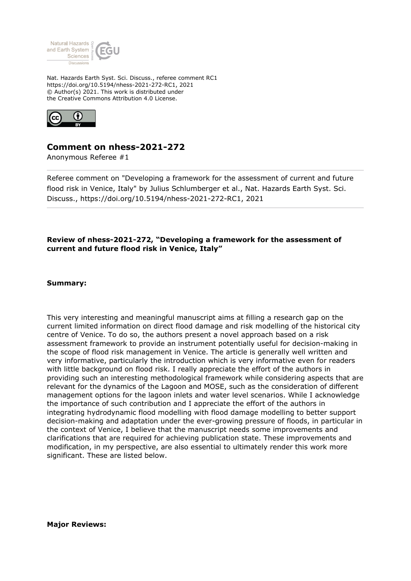

Nat. Hazards Earth Syst. Sci. Discuss., referee comment RC1 https://doi.org/10.5194/nhess-2021-272-RC1, 2021 © Author(s) 2021. This work is distributed under the Creative Commons Attribution 4.0 License.



## **Comment on nhess-2021-272**

Anonymous Referee #1

Referee comment on "Developing a framework for the assessment of current and future flood risk in Venice, Italy" by Julius Schlumberger et al., Nat. Hazards Earth Syst. Sci. Discuss., https://doi.org/10.5194/nhess-2021-272-RC1, 2021

## **Review of nhess-2021-272, "Developing a framework for the assessment of current and future flood risk in Venice, Italy"**

## **Summary:**

This very interesting and meaningful manuscript aims at filling a research gap on the current limited information on direct flood damage and risk modelling of the historical city centre of Venice. To do so, the authors present a novel approach based on a risk assessment framework to provide an instrument potentially useful for decision-making in the scope of flood risk management in Venice. The article is generally well written and very informative, particularly the introduction which is very informative even for readers with little background on flood risk. I really appreciate the effort of the authors in providing such an interesting methodological framework while considering aspects that are relevant for the dynamics of the Lagoon and MOSE, such as the consideration of different management options for the lagoon inlets and water level scenarios. While I acknowledge the importance of such contribution and I appreciate the effort of the authors in integrating hydrodynamic flood modelling with flood damage modelling to better support decision-making and adaptation under the ever-growing pressure of floods, in particular in the context of Venice, I believe that the manuscript needs some improvements and clarifications that are required for achieving publication state. These improvements and modification, in my perspective, are also essential to ultimately render this work more significant. These are listed below.

**Major Reviews:**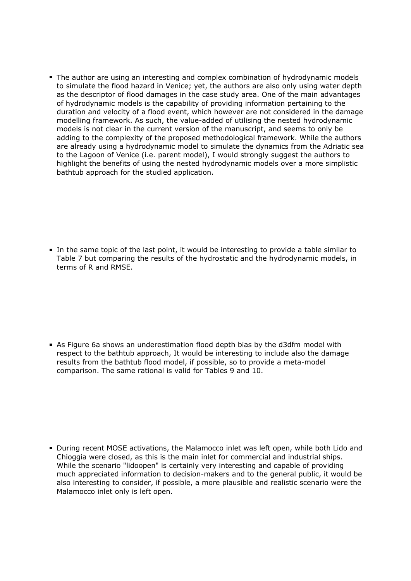The author are using an interesting and complex combination of hydrodynamic models to simulate the flood hazard in Venice; yet, the authors are also only using water depth as the descriptor of flood damages in the case study area. One of the main advantages of hydrodynamic models is the capability of providing information pertaining to the duration and velocity of a flood event, which however are not considered in the damage modelling framework. As such, the value-added of utilising the nested hydrodynamic models is not clear in the current version of the manuscript, and seems to only be adding to the complexity of the proposed methodological framework. While the authors are already using a hydrodynamic model to simulate the dynamics from the Adriatic sea to the Lagoon of Venice (i.e. parent model), I would strongly suggest the authors to highlight the benefits of using the nested hydrodynamic models over a more simplistic bathtub approach for the studied application.

In the same topic of the last point, it would be interesting to provide a table similar to Table 7 but comparing the results of the hydrostatic and the hydrodynamic models, in terms of R and RMSE.

As Figure 6a shows an underestimation flood depth bias by the d3dfm model with respect to the bathtub approach, It would be interesting to include also the damage results from the bathtub flood model, if possible, so to provide a meta-model comparison. The same rational is valid for Tables 9 and 10.

**During recent MOSE activations, the Malamocco inlet was left open, while both Lido and** Chioggia were closed, as this is the main inlet for commercial and industrial ships. While the scenario "lidoopen" is certainly very interesting and capable of providing much appreciated information to decision-makers and to the general public, it would be also interesting to consider, if possible, a more plausible and realistic scenario were the Malamocco inlet only is left open.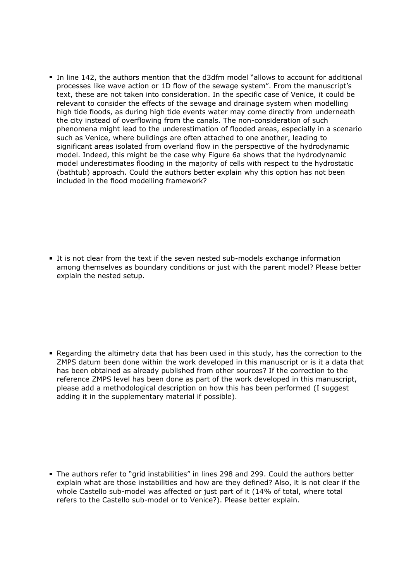In line 142, the authors mention that the d3dfm model "allows to account for additional processes like wave action or 1D flow of the sewage system". From the manuscript's text, these are not taken into consideration. In the specific case of Venice, it could be relevant to consider the effects of the sewage and drainage system when modelling high tide floods, as during high tide events water may come directly from underneath the city instead of overflowing from the canals. The non-consideration of such phenomena might lead to the underestimation of flooded areas, especially in a scenario such as Venice, where buildings are often attached to one another, leading to significant areas isolated from overland flow in the perspective of the hydrodynamic model. Indeed, this might be the case why Figure 6a shows that the hydrodynamic model underestimates flooding in the majority of cells with respect to the hydrostatic (bathtub) approach. Could the authors better explain why this option has not been included in the flood modelling framework?

It is not clear from the text if the seven nested sub-models exchange information among themselves as boundary conditions or just with the parent model? Please better explain the nested setup.

Regarding the altimetry data that has been used in this study, has the correction to the ZMPS datum been done within the work developed in this manuscript or is it a data that has been obtained as already published from other sources? If the correction to the reference ZMPS level has been done as part of the work developed in this manuscript, please add a methodological description on how this has been performed (I suggest adding it in the supplementary material if possible).

The authors refer to "grid instabilities" in lines 298 and 299. Could the authors better explain what are those instabilities and how are they defined? Also, it is not clear if the whole Castello sub-model was affected or just part of it (14% of total, where total refers to the Castello sub-model or to Venice?). Please better explain.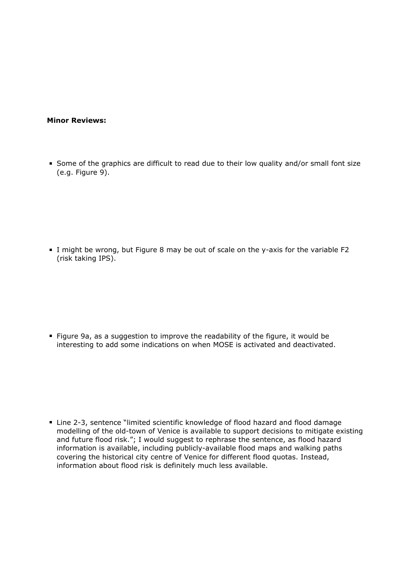## **Minor Reviews:**

Some of the graphics are difficult to read due to their low quality and/or small font size (e.g. Figure 9).

I might be wrong, but Figure 8 may be out of scale on the y-axis for the variable F2 (risk taking IPS).

Figure 9a, as a suggestion to improve the readability of the figure, it would be interesting to add some indications on when MOSE is activated and deactivated.

■ Line 2-3, sentence "limited scientific knowledge of flood hazard and flood damage modelling of the old-town of Venice is available to support decisions to mitigate existing and future flood risk."; I would suggest to rephrase the sentence, as flood hazard information is available, including publicly-available flood maps and walking paths covering the historical city centre of Venice for different flood quotas. Instead, information about flood risk is definitely much less available.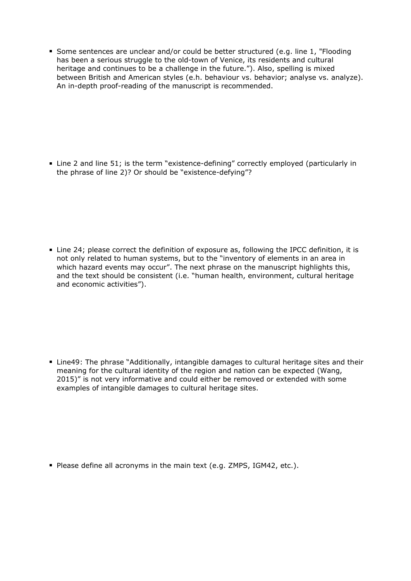Some sentences are unclear and/or could be better structured (e.g. line 1, "Flooding has been a serious struggle to the old-town of Venice, its residents and cultural heritage and continues to be a challenge in the future."). Also, spelling is mixed between British and American styles (e.h. behaviour vs. behavior; analyse vs. analyze). An in-depth proof-reading of the manuscript is recommended.

Line 2 and line 51; is the term "existence-defining" correctly employed (particularly in the phrase of line 2)? Or should be "existence-defying"?

Line 24; please correct the definition of exposure as, following the IPCC definition, it is not only related to human systems, but to the "inventory of elements in an area in which hazard events may occur". The next phrase on the manuscript highlights this, and the text should be consistent (i.e. "human health, environment, cultural heritage and economic activities").

Line49: The phrase "Additionally, intangible damages to cultural heritage sites and their meaning for the cultural identity of the region and nation can be expected (Wang, 2015)" is not very informative and could either be removed or extended with some examples of intangible damages to cultural heritage sites.

Please define all acronyms in the main text (e.g. ZMPS, IGM42, etc.).